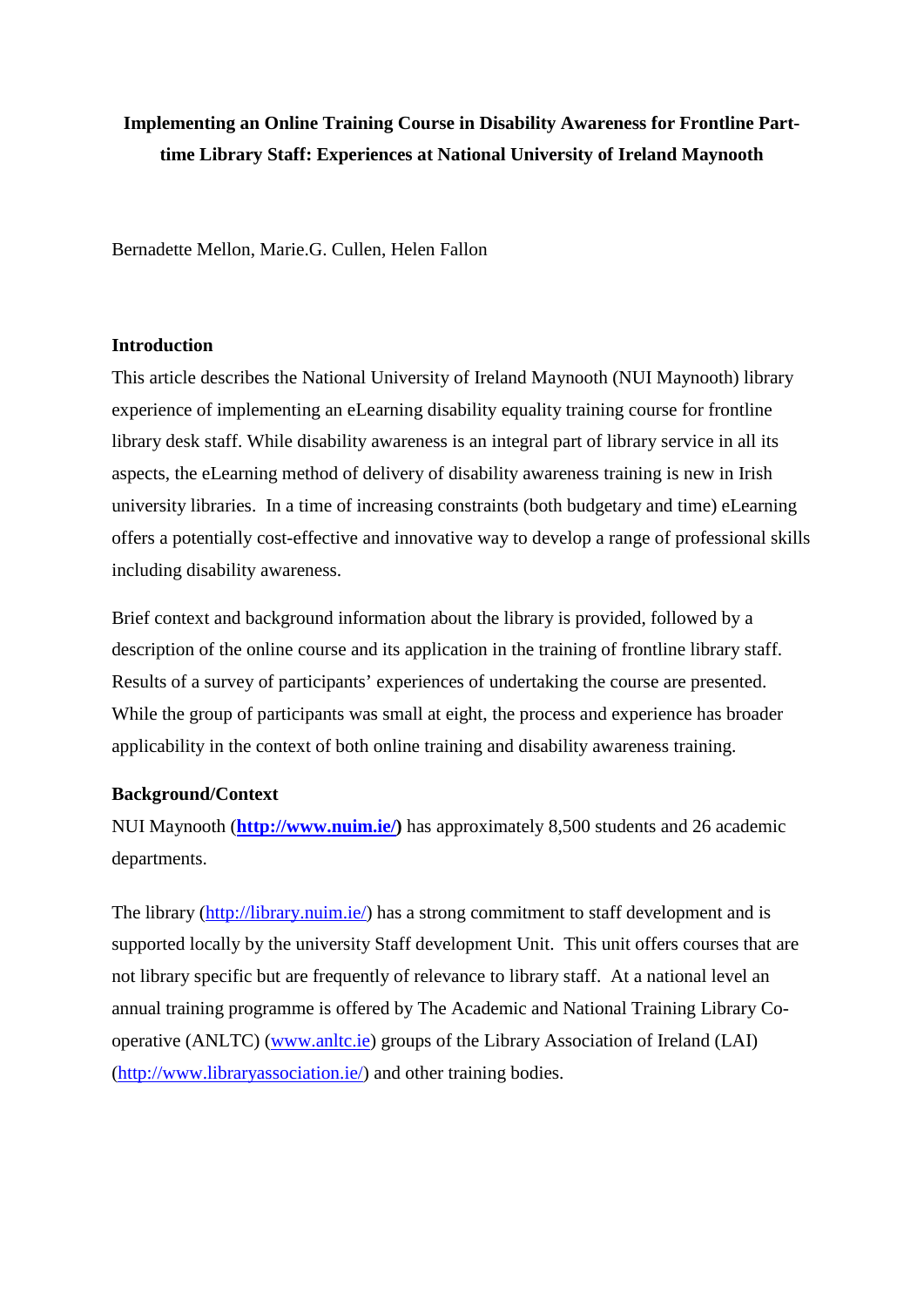# **Implementing an Online Training Course in Disability Awareness for Frontline Parttime Library Staff: Experiences at National University of Ireland Maynooth**

Bernadette Mellon, Marie.G. Cullen, Helen Fallon

#### **Introduction**

This article describes the National University of Ireland Maynooth (NUI Maynooth) library experience of implementing an eLearning disability equality training course for frontline library desk staff. While disability awareness is an integral part of library service in all its aspects, the eLearning method of delivery of disability awareness training is new in Irish university libraries. In a time of increasing constraints (both budgetary and time) eLearning offers a potentially cost-effective and innovative way to develop a range of professional skills including disability awareness.

Brief context and background information about the library is provided, followed by a description of the online course and its application in the training of frontline library staff. Results of a survey of participants' experiences of undertaking the course are presented. While the group of participants was small at eight, the process and experience has broader applicability in the context of both online training and disability awareness training.

### **Background/Context**

NUI Maynooth (**[http://www.nuim.ie/\)](http://www.nuim.ie/)** has approximately 8,500 students and 26 academic departments.

The library [\(http://library.nuim.ie/\)](http://library.nuim.ie/) has a strong commitment to staff development and is supported locally by the university Staff development Unit. This unit offers courses that are not library specific but are frequently of relevance to library staff. At a national level an annual training programme is offered by The Academic and National Training Library Cooperative (ANLTC) [\(www.anltc.ie\)](http://www.anltc.ie/) groups of the Library Association of Ireland (LAI) [\(http://www.libraryassociation.ie/\)](http://www.libraryassociation.ie/) and other training bodies.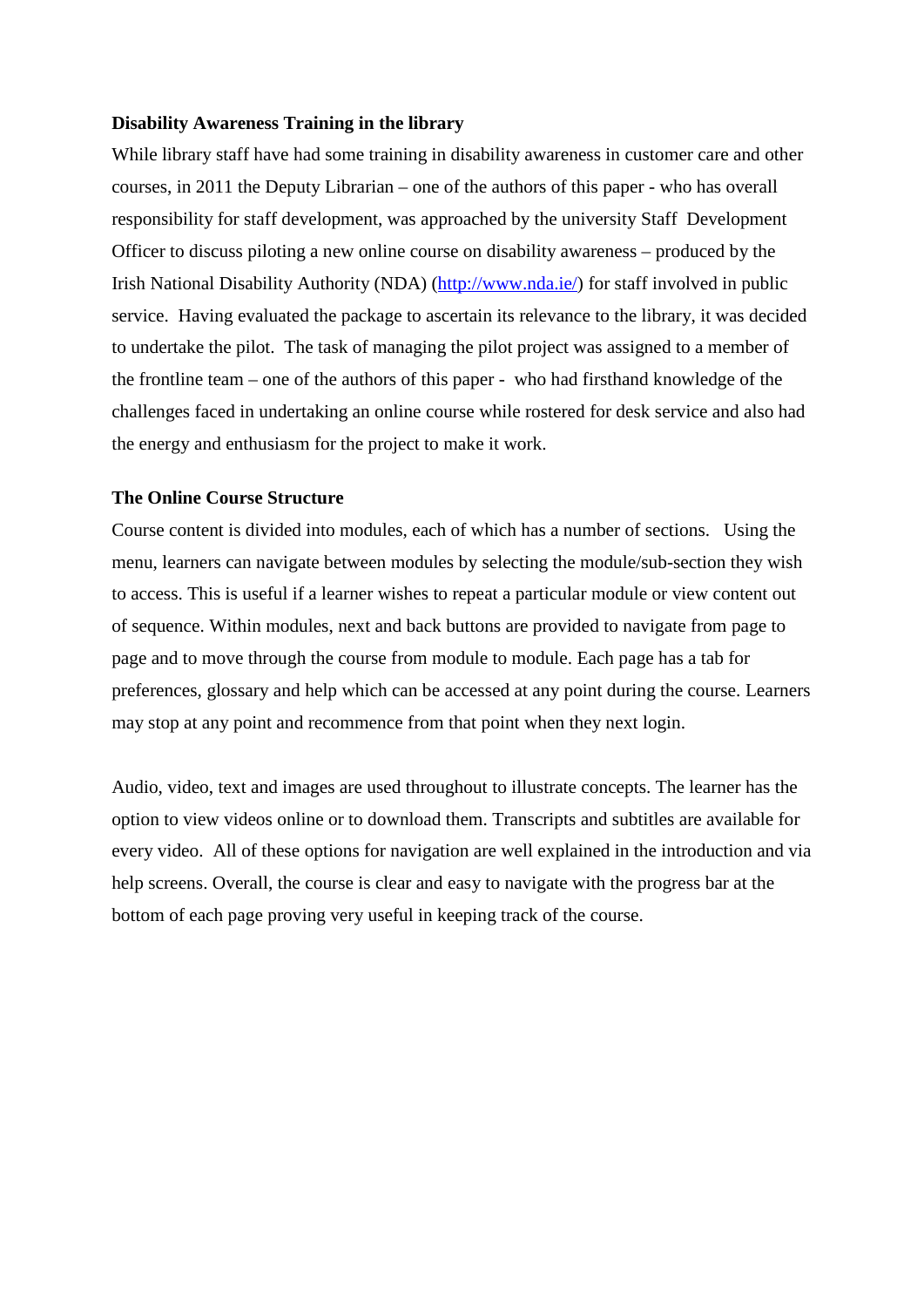#### **Disability Awareness Training in the library**

While library staff have had some training in disability awareness in customer care and other courses, in 2011 the Deputy Librarian – one of the authors of this paper - who has overall responsibility for staff development, was approached by the university Staff Development Officer to discuss piloting a new online course on disability awareness – produced by the Irish National Disability Authority (NDA) [\(http://www.nda.ie/\)](http://www.nda.ie/) for staff involved in public service. Having evaluated the package to ascertain its relevance to the library, it was decided to undertake the pilot. The task of managing the pilot project was assigned to a member of the frontline team – one of the authors of this paper - who had firsthand knowledge of the challenges faced in undertaking an online course while rostered for desk service and also had the energy and enthusiasm for the project to make it work.

#### **The Online Course Structure**

Course content is divided into modules, each of which has a number of sections. Using the menu, learners can navigate between modules by selecting the module/sub-section they wish to access. This is useful if a learner wishes to repeat a particular module or view content out of sequence. Within modules, next and back buttons are provided to navigate from page to page and to move through the course from module to module. Each page has a tab for preferences, glossary and help which can be accessed at any point during the course. Learners may stop at any point and recommence from that point when they next login.

Audio, video, text and images are used throughout to illustrate concepts. The learner has the option to view videos online or to download them. Transcripts and subtitles are available for every video. All of these options for navigation are well explained in the introduction and via help screens. Overall, the course is clear and easy to navigate with the progress bar at the bottom of each page proving very useful in keeping track of the course.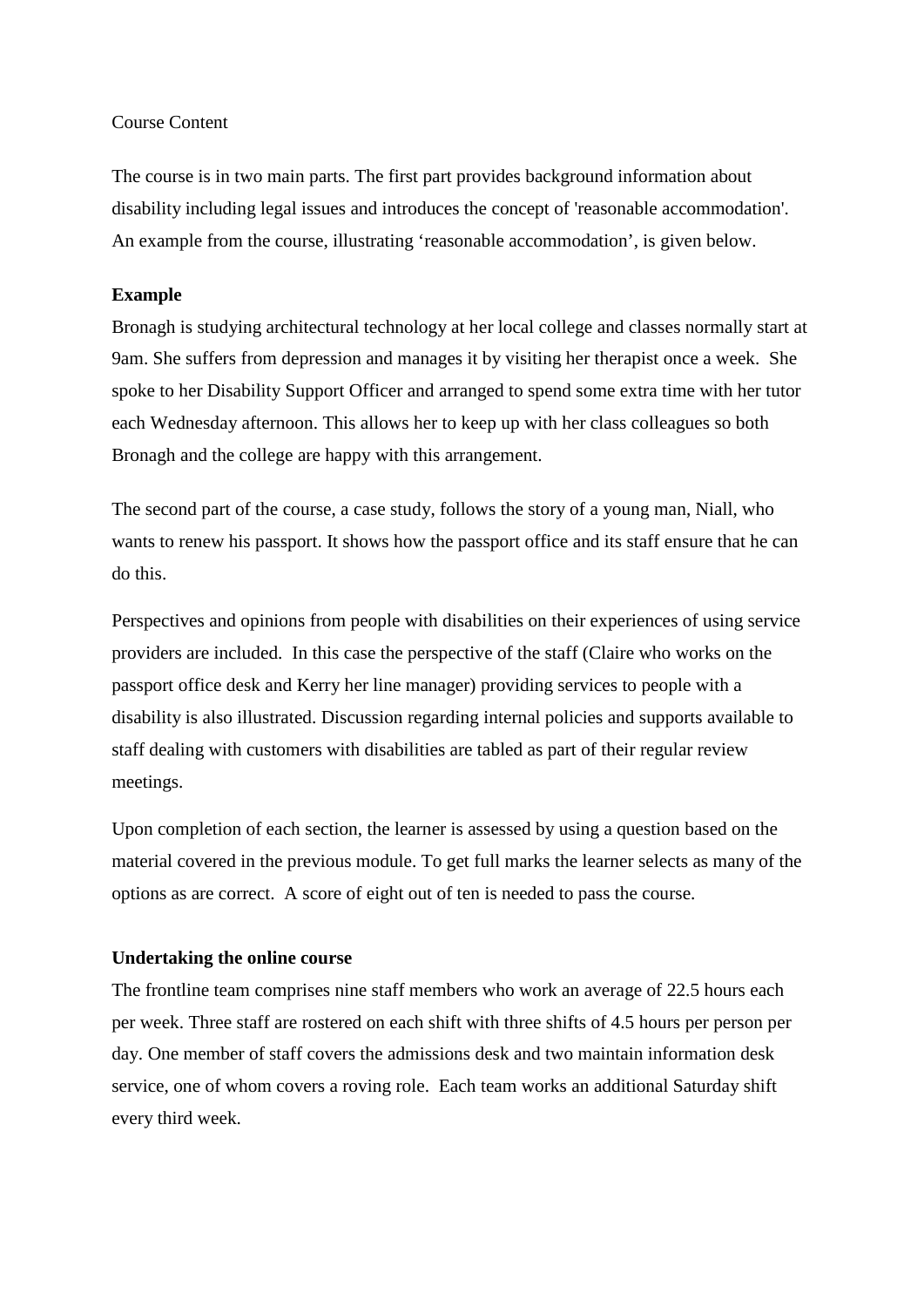#### Course Content

The course is in two main parts. The first part provides background information about disability including legal issues and introduces the concept of 'reasonable accommodation'. An example from the course, illustrating 'reasonable accommodation', is given below.

#### **Example**

Bronagh is studying architectural technology at her local college and classes normally start at 9am. She suffers from depression and manages it by visiting her therapist once a week. She spoke to her Disability Support Officer and arranged to spend some extra time with her tutor each Wednesday afternoon. This allows her to keep up with her class colleagues so both Bronagh and the college are happy with this arrangement.

The second part of the course, a case study, follows the story of a young man, Niall, who wants to renew his passport. It shows how the passport office and its staff ensure that he can do this.

Perspectives and opinions from people with disabilities on their experiences of using service providers are included. In this case the perspective of the staff (Claire who works on the passport office desk and Kerry her line manager) providing services to people with a disability is also illustrated. Discussion regarding internal policies and supports available to staff dealing with customers with disabilities are tabled as part of their regular review meetings.

Upon completion of each section, the learner is assessed by using a question based on the material covered in the previous module. To get full marks the learner selects as many of the options as are correct. A score of eight out of ten is needed to pass the course.

#### **Undertaking the online course**

The frontline team comprises nine staff members who work an average of 22.5 hours each per week. Three staff are rostered on each shift with three shifts of 4.5 hours per person per day. One member of staff covers the admissions desk and two maintain information desk service, one of whom covers a roving role. Each team works an additional Saturday shift every third week.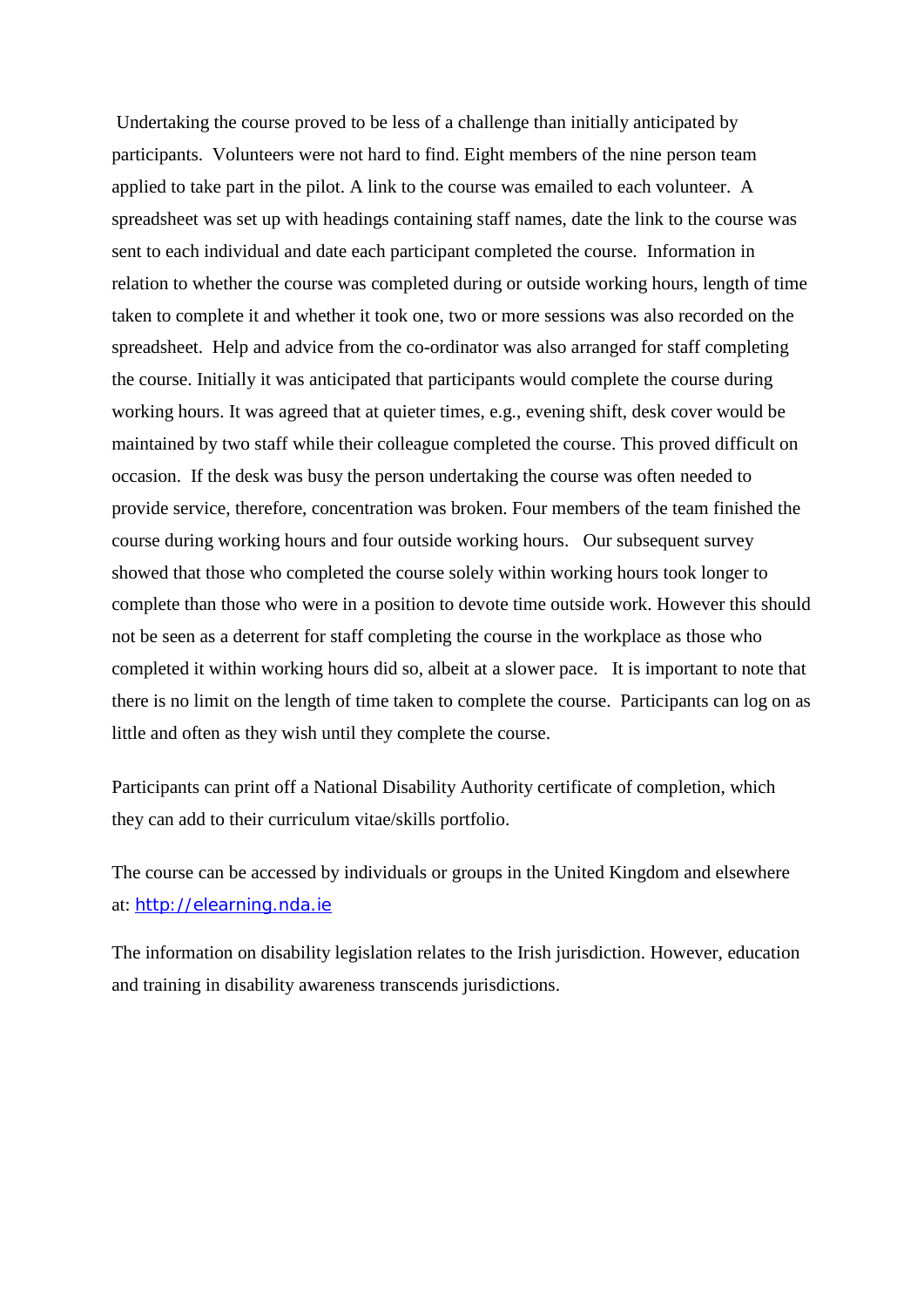Undertaking the course proved to be less of a challenge than initially anticipated by participants. Volunteers were not hard to find. Eight members of the nine person team applied to take part in the pilot. A link to the course was emailed to each volunteer. A spreadsheet was set up with headings containing staff names, date the link to the course was sent to each individual and date each participant completed the course. Information in relation to whether the course was completed during or outside working hours, length of time taken to complete it and whether it took one, two or more sessions was also recorded on the spreadsheet. Help and advice from the co-ordinator was also arranged for staff completing the course. Initially it was anticipated that participants would complete the course during working hours. It was agreed that at quieter times, e.g., evening shift, desk cover would be maintained by two staff while their colleague completed the course. This proved difficult on occasion. If the desk was busy the person undertaking the course was often needed to provide service, therefore, concentration was broken. Four members of the team finished the course during working hours and four outside working hours. Our subsequent survey showed that those who completed the course solely within working hours took longer to complete than those who were in a position to devote time outside work. However this should not be seen as a deterrent for staff completing the course in the workplace as those who completed it within working hours did so, albeit at a slower pace. It is important to note that there is no limit on the length of time taken to complete the course. Participants can log on as little and often as they wish until they complete the course.

Participants can print off a National Disability Authority certificate of completion, which they can add to their curriculum vitae/skills portfolio.

The course can be accessed by individuals or groups in the United Kingdom and elsewhere at: [http://elearning.nda.ie](http://elearning.nda.ie/)

The information on disability legislation relates to the Irish jurisdiction. However, education and training in disability awareness transcends jurisdictions.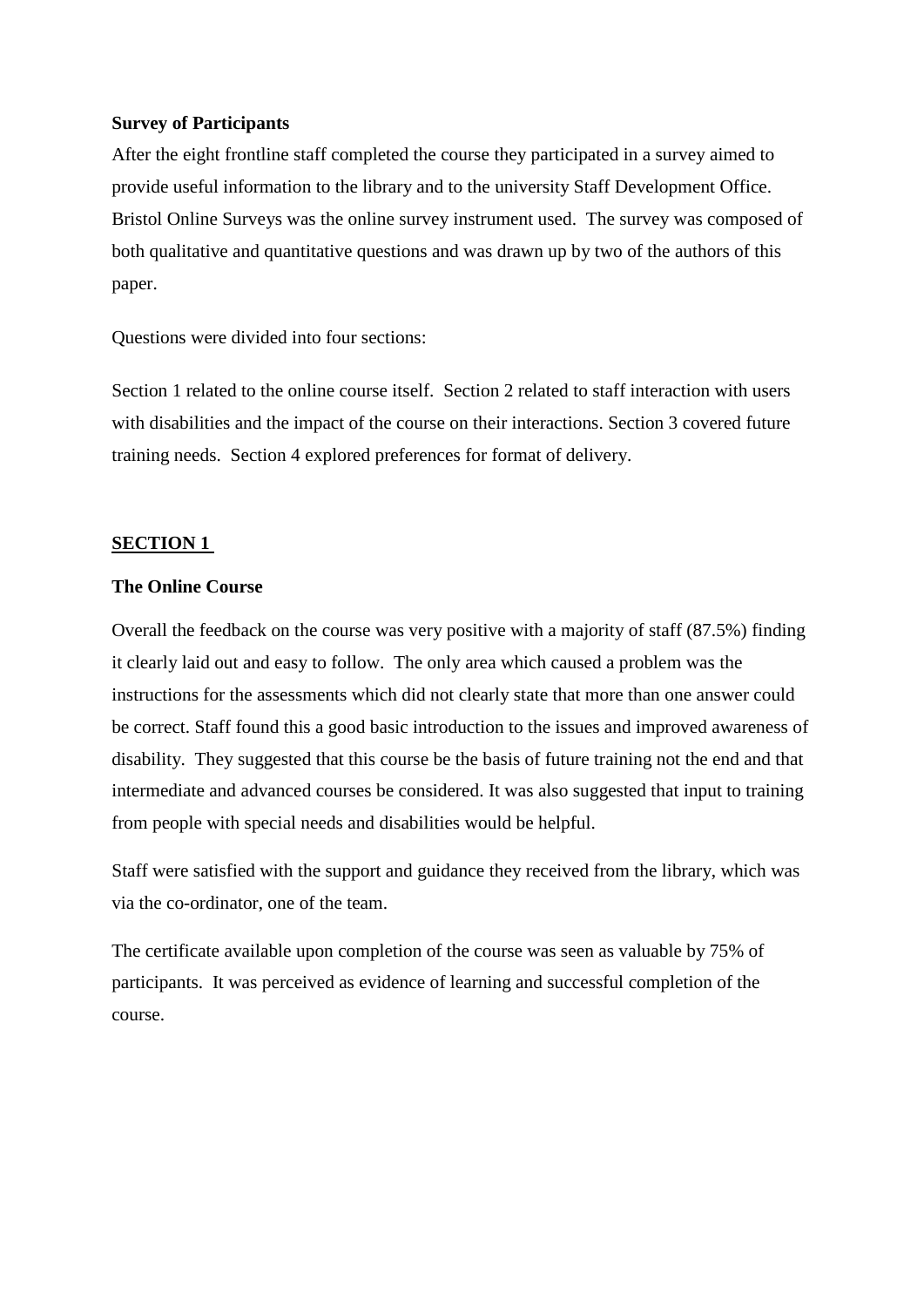#### **Survey of Participants**

After the eight frontline staff completed the course they participated in a survey aimed to provide useful information to the library and to the university Staff Development Office. Bristol Online Surveys was the online survey instrument used. The survey was composed of both qualitative and quantitative questions and was drawn up by two of the authors of this paper.

Questions were divided into four sections:

Section 1 related to the online course itself. Section 2 related to staff interaction with users with disabilities and the impact of the course on their interactions. Section 3 covered future training needs. Section 4 explored preferences for format of delivery.

#### **SECTION 1**

#### **The Online Course**

Overall the feedback on the course was very positive with a majority of staff (87.5%) finding it clearly laid out and easy to follow. The only area which caused a problem was the instructions for the assessments which did not clearly state that more than one answer could be correct. Staff found this a good basic introduction to the issues and improved awareness of disability. They suggested that this course be the basis of future training not the end and that intermediate and advanced courses be considered. It was also suggested that input to training from people with special needs and disabilities would be helpful.

Staff were satisfied with the support and guidance they received from the library, which was via the co-ordinator, one of the team.

The certificate available upon completion of the course was seen as valuable by 75% of participants. It was perceived as evidence of learning and successful completion of the course.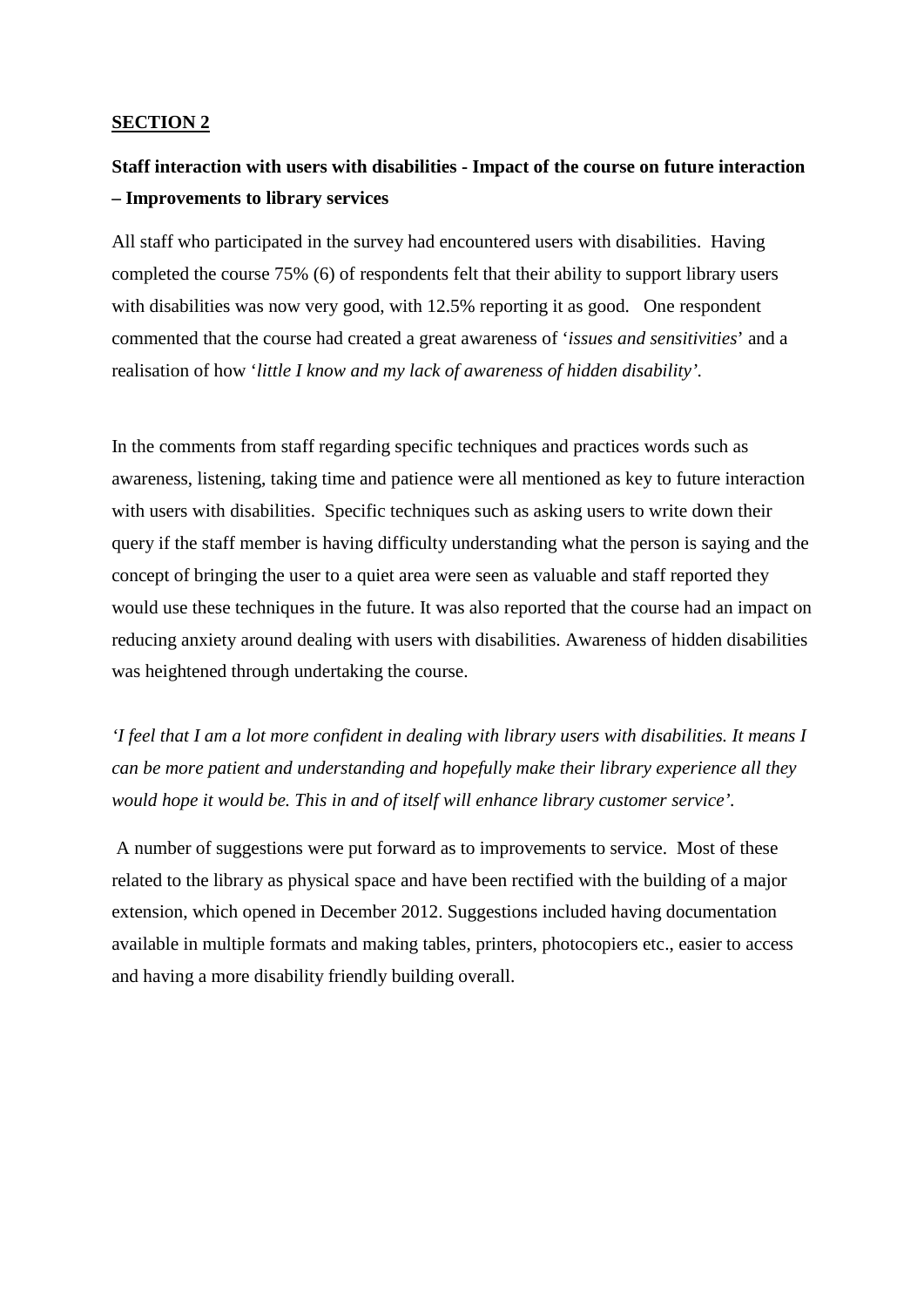### **SECTION 2**

# **Staff interaction with users with disabilities - Impact of the course on future interaction – Improvements to library services**

All staff who participated in the survey had encountered users with disabilities. Having completed the course 75% (6) of respondents felt that their ability to support library users with disabilities was now very good, with 12.5% reporting it as good. One respondent commented that the course had created a great awareness of '*issues and sensitivities*' and a realisation of how '*little I know and my lack of awareness of hidden disability'.* 

In the comments from staff regarding specific techniques and practices words such as awareness, listening, taking time and patience were all mentioned as key to future interaction with users with disabilities. Specific techniques such as asking users to write down their query if the staff member is having difficulty understanding what the person is saying and the concept of bringing the user to a quiet area were seen as valuable and staff reported they would use these techniques in the future. It was also reported that the course had an impact on reducing anxiety around dealing with users with disabilities. Awareness of hidden disabilities was heightened through undertaking the course.

*'I feel that I am a lot more confident in dealing with library users with disabilities. It means I can be more patient and understanding and hopefully make their library experience all they would hope it would be. This in and of itself will enhance library customer service'.*

A number of suggestions were put forward as to improvements to service. Most of these related to the library as physical space and have been rectified with the building of a major extension, which opened in December 2012. Suggestions included having documentation available in multiple formats and making tables, printers, photocopiers etc., easier to access and having a more disability friendly building overall.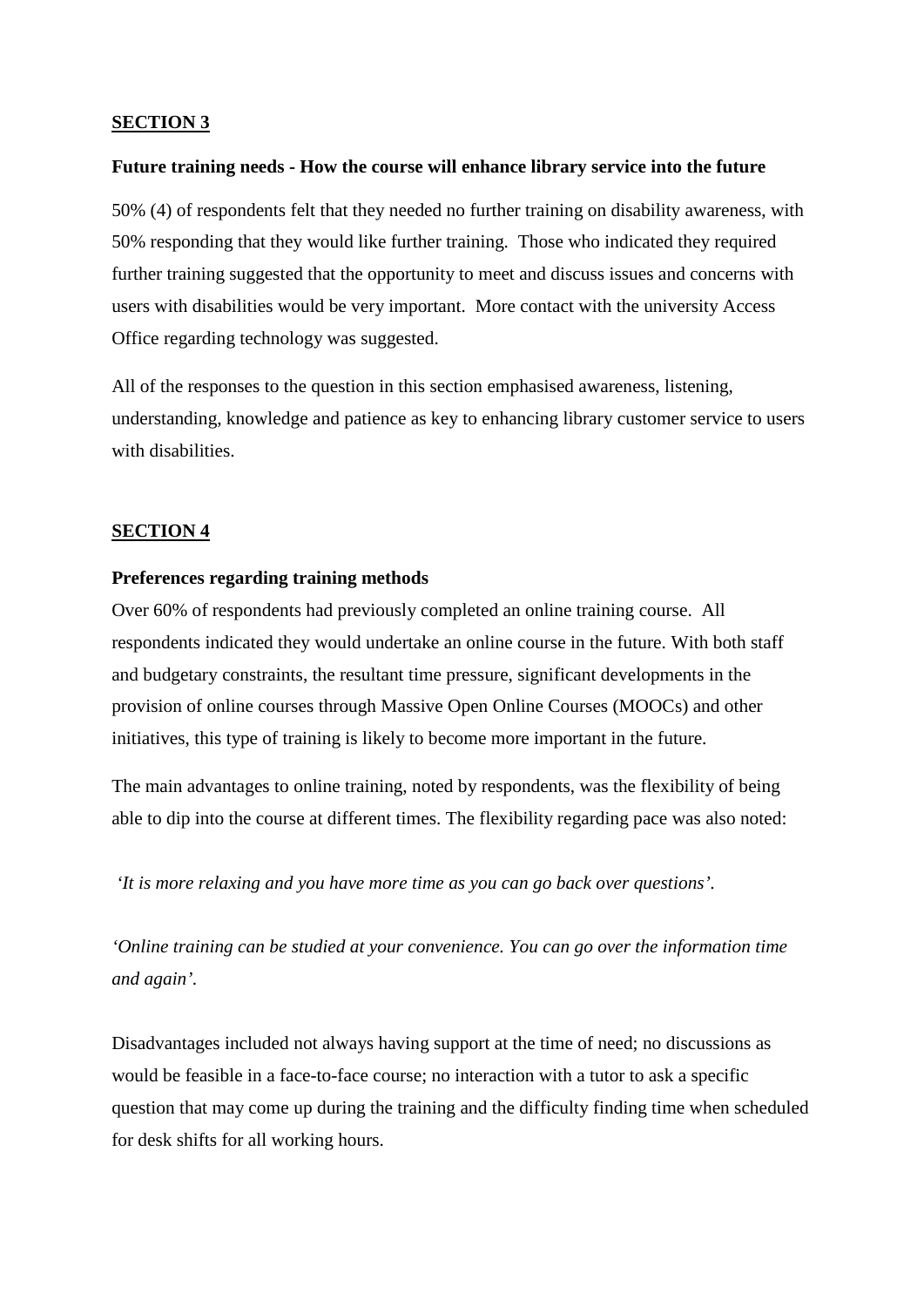#### **SECTION 3**

#### **Future training needs - How the course will enhance library service into the future**

50% (4) of respondents felt that they needed no further training on disability awareness, with 50% responding that they would like further training. Those who indicated they required further training suggested that the opportunity to meet and discuss issues and concerns with users with disabilities would be very important. More contact with the university Access Office regarding technology was suggested.

All of the responses to the question in this section emphasised awareness, listening, understanding, knowledge and patience as key to enhancing library customer service to users with disabilities.

#### **SECTION 4**

#### **Preferences regarding training methods**

Over 60% of respondents had previously completed an online training course. All respondents indicated they would undertake an online course in the future. With both staff and budgetary constraints, the resultant time pressure, significant developments in the provision of online courses through Massive Open Online Courses (MOOCs) and other initiatives, this type of training is likely to become more important in the future.

The main advantages to online training, noted by respondents, was the flexibility of being able to dip into the course at different times. The flexibility regarding pace was also noted:

*'It is more relaxing and you have more time as you can go back over questions'.*

*'Online training can be studied at your convenience. You can go over the information time and again'.*

Disadvantages included not always having support at the time of need; no discussions as would be feasible in a face-to-face course; no interaction with a tutor to ask a specific question that may come up during the training and the difficulty finding time when scheduled for desk shifts for all working hours.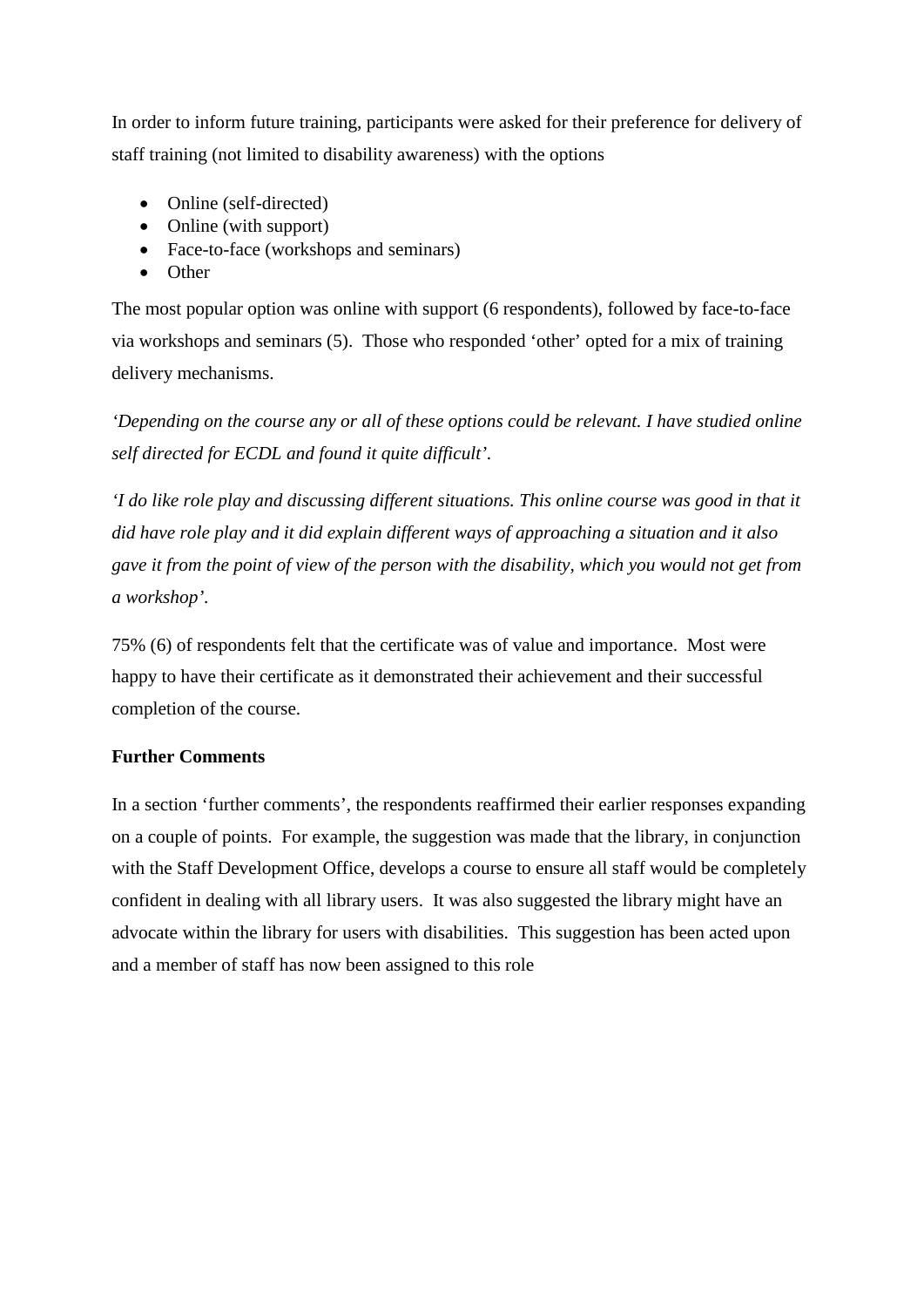In order to inform future training, participants were asked for their preference for delivery of staff training (not limited to disability awareness) with the options

- Online (self-directed)
- Online (with support)
- Face-to-face (workshops and seminars)
- Other

The most popular option was online with support (6 respondents), followed by face-to-face via workshops and seminars (5). Those who responded 'other' opted for a mix of training delivery mechanisms.

*'Depending on the course any or all of these options could be relevant. I have studied online self directed for ECDL and found it quite difficult'.* 

*'I do like role play and discussing different situations. This online course was good in that it did have role play and it did explain different ways of approaching a situation and it also gave it from the point of view of the person with the disability, which you would not get from a workshop'.*

75% (6) of respondents felt that the certificate was of value and importance. Most were happy to have their certificate as it demonstrated their achievement and their successful completion of the course.

# **Further Comments**

In a section 'further comments', the respondents reaffirmed their earlier responses expanding on a couple of points. For example, the suggestion was made that the library, in conjunction with the Staff Development Office, develops a course to ensure all staff would be completely confident in dealing with all library users. It was also suggested the library might have an advocate within the library for users with disabilities. This suggestion has been acted upon and a member of staff has now been assigned to this role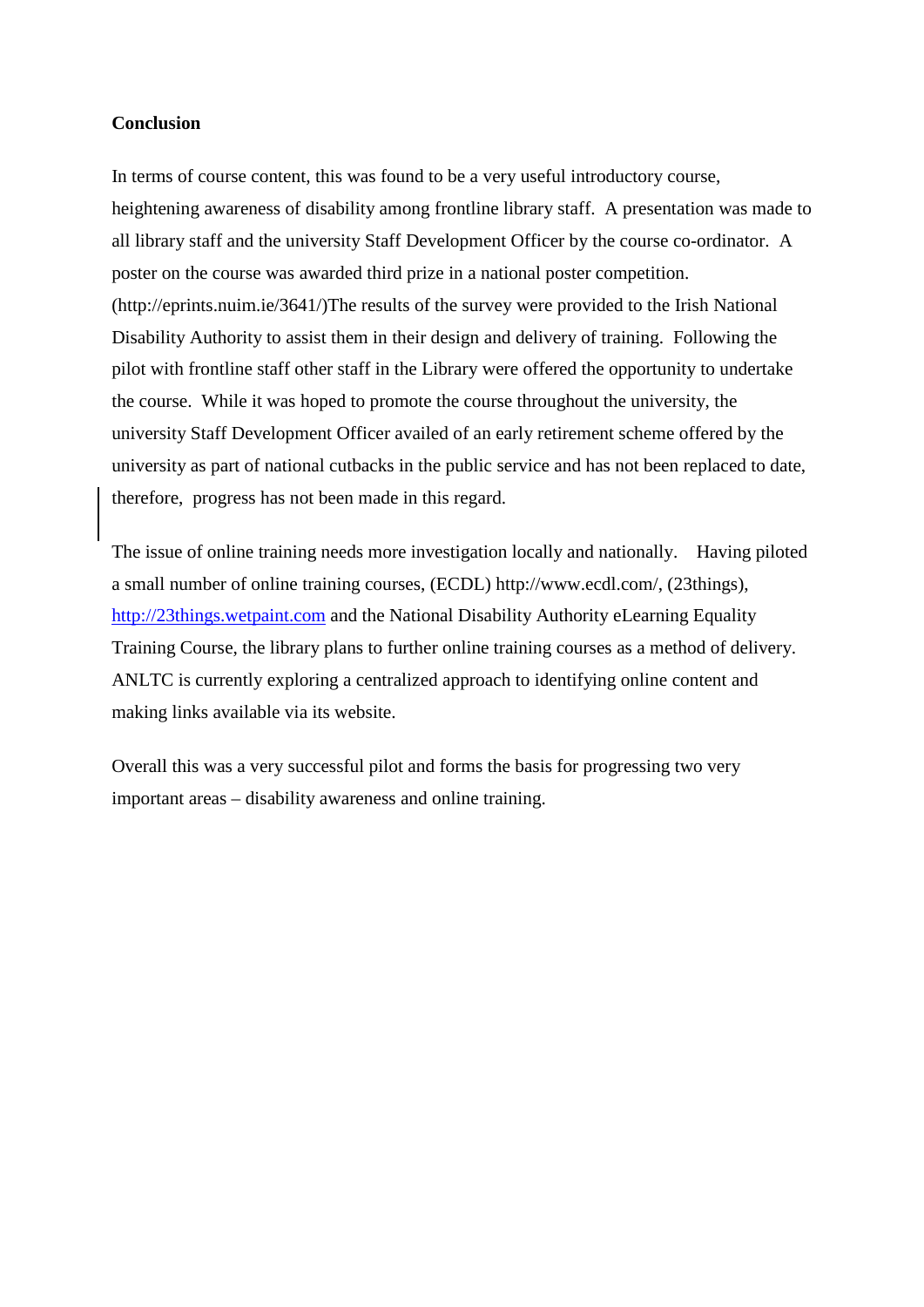#### **Conclusion**

In terms of course content, this was found to be a very useful introductory course, heightening awareness of disability among frontline library staff. A presentation was made to all library staff and the university Staff Development Officer by the course co-ordinator. A poster on the course was awarded third prize in a national poster competition. (http://eprints.nuim.ie/3641/)The results of the survey were provided to the Irish National Disability Authority to assist them in their design and delivery of training. Following the pilot with frontline staff other staff in the Library were offered the opportunity to undertake the course. While it was hoped to promote the course throughout the university, the university Staff Development Officer availed of an early retirement scheme offered by the university as part of national cutbacks in the public service and has not been replaced to date, therefore, progress has not been made in this regard.

The issue of online training needs more investigation locally and nationally. Having piloted a small number of online training courses, (ECDL) http://www.ecdl.com/, (23things), [http://23things.wetpaint.com](http://23things.wetpaint.com/) and the National Disability Authority eLearning Equality Training Course, the library plans to further online training courses as a method of delivery. ANLTC is currently exploring a centralized approach to identifying online content and making links available via its website.

Overall this was a very successful pilot and forms the basis for progressing two very important areas – disability awareness and online training.